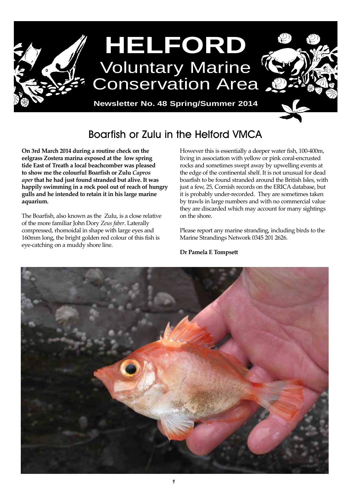

# Boarfish or Zulu in the Helford VMCA

**On 3rd March 2014 during a routine check on the eelgrass Zostera marina exposed at the low spring tide East of Treath a local beachcomber was pleased to show me the colourful Boarfish or Zulu** *Capros aper* **that he had just found stranded but alive. It was happily swimming in a rock pool out of reach of hungry gulls and he intended to retain it in his large marine aquarium.**

The Boarfish, also known as the Zulu, is a close relative of the more familiar John Dory *Zeus faber*. Laterally compressed, rhomoidal in shape with large eyes and 160mm long, the bright golden red colour of this fish is eye-catching on a muddy shore line.

However this is essentially a deeper water fish, 100-400m, living in association with yellow or pink coral-encrusted rocks and sometimes swept away by upwelling events at the edge of the continental shelf. It is not unusual for dead boarfish to be found stranded around the British Isles, with just a few, 25, Cornish records on the ERICA database, but it is probably under-recorded. They are sometimes taken by trawls in large numbers and with no commercial value they are discarded which may account for many sightings on the shore.

Please report any marine stranding, including birds to the Marine Strandings Network 0345 201 2626.

**Dr Pamela E Tompsett**

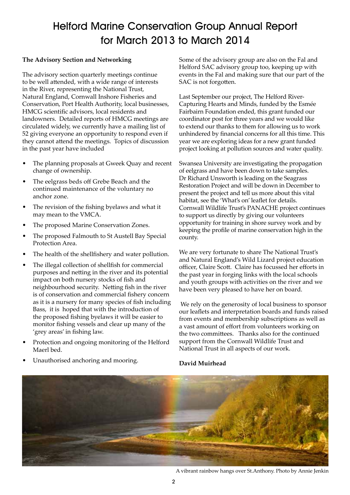# Helford Marine Conservation Group Annual Report for March 2013 to March 2014

### **The Advisory Section and Networking**

The advisory section quarterly meetings continue to be well attended, with a wide range of interests in the River, representing the National Trust, Natural England, Cornwall Inshore Fisheries and Conservation, Port Health Authority, local businesses, HMCG scientific advisors, local residents and landowners. Detailed reports of HMCG meetings are circulated widely, we currently have a mailing list of 52 giving everyone an opportunity to respond even if they cannot attend the meetings. Topics of discussion in the past year have included

- The planning proposals at Gweek Quay and recent change of ownership.
- The eelgrass beds off Grebe Beach and the continued maintenance of the voluntary no anchor zone.
- The revision of the fishing byelaws and what it may mean to the VMCA.
- The proposed Marine Conservation Zones.
- The proposed Falmouth to St Austell Bay Special Protection Area.
- The health of the shellfishery and water pollution.
- The illegal collection of shellfish for commercial purposes and netting in the river and its potential impact on both nursery stocks of fish and neighbourhood security. Netting fish in the river is of conservation and commercial fishery concern as it is a nursery for many species of fish including Bass, it is hoped that with the introduction of the proposed fishing byelaws it will be easier to monitor fishing vessels and clear up many of the 'grey areas' in fishing law.
- Protection and ongoing monitoring of the Helford Maerl bed.

Some of the advisory group are also on the Fal and Helford SAC advisory group too, keeping up with events in the Fal and making sure that our part of the SAC is not forgotten.

Last September our project, The Helford River-Capturing Hearts and Minds, funded by the Esmée Fairbairn Foundation ended, this grant funded our coordinator post for three years and we would like to extend our thanks to them for allowing us to work unhindered by financial concerns for all this time. This year we are exploring ideas for a new grant funded project looking at pollution sources and water quality.

Swansea University are investigating the propagation of eelgrass and have been down to take samples. Dr Richard Unsworth is leading on the Seagrass Restoration Project and will be down in December to present the project and tell us more about this vital habitat, see the 'What's on' leaflet for details. Cornwall Wildlife Trust's PANACHE project continues to support us directly by giving our volunteers opportunity for training in shore survey work and by keeping the profile of marine conservation high in the county.

We are very fortunate to share The National Trust's and Natural England's Wild Lizard project education officer, Claire Scott. Claire has focussed her efforts in the past year in forging links with the local schools and youth groups with activities on the river and we have been very pleased to have her on board.

 We rely on the generosity of local business to sponsor our leaflets and interpretation boards and funds raised from events and membership subscriptions as well as a vast amount of effort from volunteers working on the two committees. Thanks also for the continued support from the Cornwall Wildlife Trust and National Trust in all aspects of our work.



**David Muirhead**

### Unauthorised anchoring and mooring.

A vibrant rainbow hangs over St.Anthony. Photo by Annie Jenkin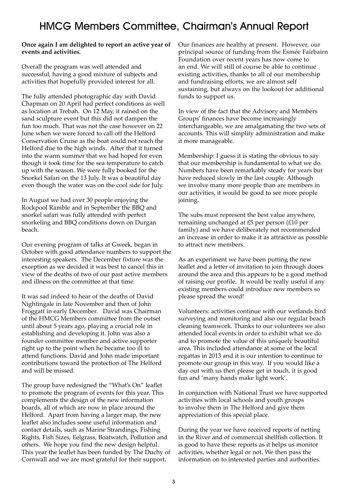## HMCG Members Committee, Chairman's Annual Report

### **Once again I am delighted to report an active year of events and activities.**

Overall the program was well attended and successful, having a good mixture of subjects and activities that hopefully provided interest for all.

The fully attended photographic day with David Chapman on 20 April had perfect conditions as well as location at Trebah. On 12 May, it rained on the sand sculpture event but this did not dampen the fun too much. That was not the case however on 22 June when we were forced to call off the Helford Conservation Cruise as the boat could not reach the Helford due to the high winds. After that it turned into the warm summer that we had hoped for even though it took time for the sea temperature to catch up with the season. We were fully booked for the Snorkel Safari on the 13 July. It was a beautiful day even though the water was on the cool side for July.

In August we had over 30 people enjoying the Rockpool Ramble and in September the BBQ and snorkel safari was fully attended with perfect snorkeling and BBQ conditions down on Durgan beach.

Our evening program of talks at Gweek, began in October with good attendance numbers to support the interesting speakers. The December fixture was the exception as we decided it was best to cancel this in view of the deaths of two of our past active members and illness on the committee at that time.

It was sad indeed to hear of the deaths of David Nightingale in late November and then of John Froggatt in early December. David was Chairman of the HMCG Members committee from the outset until about 5 years ago, playing a crucial role in establishing and developing it. John was also a founder committee member and active supporter right up to the point when he became too ill to attend functions. David and John made important contributions toward the protection of The Helford and will be missed.

The group have redesigned the "What's On" leaflet to promote the program of events for this year. This complements the design of the new information boards, all of which are now in place around the Helford. Apart from having a larger map, the new leaflet also includes some useful information and contact details, such as Marine Strandings, Fishing Rights, Fish Sizes, Eelgrass, Boatwatch, Pollution and others. We hope you find the new design helpful. This year the leaflet has been funded by The Duchy of Cornwall and we are most grateful for their support.

Our finances are healthy at present. However, our principal source of funding from the Esmée Fairbairn Foundation over recent years has now come to an end. We will still of course be able to continue existing activities, thanks to all of our membership and fundraising efforts, we are almost self sustaining, but always on the lookout for additional funds to support us.

In view of the fact that the Advisory and Members Groups' finances have become increasingly interchangeable, we are amalgamating the two sets of accounts. This will simplify administration and make it more manageable.

Membership: I guess it is stating the obvious to say that our membership is fundamental to what we do. Numbers have been remarkably steady for years but have reduced slowly in the last couple. Although we involve many more people than are members in our activities, it would be good to see more people joining.

The subs must represent the best value anywhere, remaining unchanged at £5 per person (£10 per family) and we have deliberately not recommended an increase in order to make it as attractive as possible to attract new members.

As an experiment we have been putting the new leaflet and a letter of invitation to join through doors around the area and this appears to be a good method of raising our profile. It would be really useful if any existing members could introduce new members so please spread the word!

Volunteers: activities continue with our wetlands bird surveying and monitoring and also our regular beach cleaning teamwork. Thanks to our volunteers we also attended local events in order to exhibit what we do and to promote the value of this uniquely beautiful area. This included attendance at some of the local regattas in 2013 and it is our intention to continue to promote our group in this way. If you would like a day out with us then please get in touch, it is good fun and 'many hands make light work'.

In conjunction with National Trust we have supported activities with local schools and youth groups to involve them in The Helford and give them appreciation of this special place.

During the year we have received reports of netting in the River and of commercial shellfish collection. It is good to have these reports as it helps us monitor activities, whether legal or not. We then pass the information on to interested parties and authorities.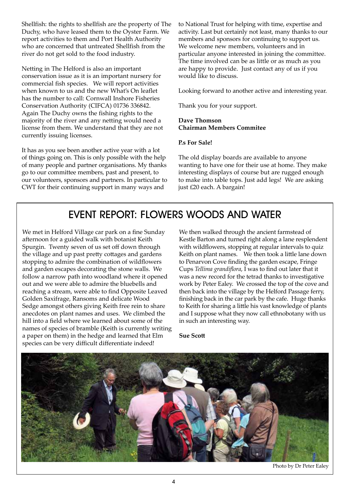Shellfish: the rights to shellfish are the property of The Duchy, who have leased them to the Oyster Farm. We report activities to them and Port Health Authority who are concerned that untreated Shellfish from the river do not get sold to the food industry.

Netting in The Helford is also an important conservation issue as it is an important nursery for commercial fish species. We will report activities when known to us and the new What's On leaflet has the number to call: Cornwall Inshore Fisheries Conservation Authority (CIFCA) 01736 336842. Again The Duchy owns the fishing rights to the majority of the river and any netting would need a license from them. We understand that they are not currently issuing licenses.

It has as you see been another active year with a lot of things going on. This is only possible with the help of many people and partner organisations. My thanks go to our committee members, past and present, to our volunteers, sponsors and partners. In particular to CWT for their continuing support in many ways and

to National Trust for helping with time, expertise and activity. Last but certainly not least, many thanks to our members and sponsors for continuing to support us. We welcome new members, volunteers and in particular anyone interested in joining the committee. The time involved can be as little or as much as you are happy to provide. Just contact any of us if you would like to discuss.

Looking forward to another active and interesting year.

Thank you for your support.

### **Dave Thomson Chairman Members Commitee**

### **P.s For Sale!**

The old display boards are available to anyone wanting to have one for their use at home. They make interesting displays of course but are rugged enough to make into table tops. Just add legs! We are asking just £20 each. A bargain!

## EVENT REPORT: FLOWERS WOODS AND WATER

We met in Helford Village car park on a fine Sunday afternoon for a guided walk with botanist Keith Spurgin. Twenty seven of us set off down through the village and up past pretty cottages and gardens stopping to admire the combination of wildflowers and garden escapes decorating the stone walls. We follow a narrow path into woodland where it opened out and we were able to admire the bluebells and reaching a stream, were able to find Opposite Leaved Golden Saxifrage, Ransoms and delicate Wood Sedge amongst others giving Keith free rein to share anecdotes on plant names and uses. We climbed the hill into a field where we learned about some of the names of species of bramble (Keith is currently writing a paper on them) in the hedge and learned that Elm species can be very difficult differentiate indeed!

We then walked through the ancient farmstead of Kestle Barton and turned right along a lane resplendent with wildflowers, stopping at regular intervals to quiz Keith on plant names. We then took a little lane down to Penarvon Cove finding the garden escape, Fringe Cups *Tellima grandiflora*, I was to find out later that it was a new record for the tetrad thanks to investigative work by Peter Ealey. We crossed the top of the cove and then back into the village by the Helford Passage ferry, finishing back in the car park by the cafe. Huge thanks to Keith for sharing a little his vast knowledge of plants and I suppose what they now call ethnobotany with us in such an interesting way.

**Sue Scott**



Photo by Dr Peter Ealey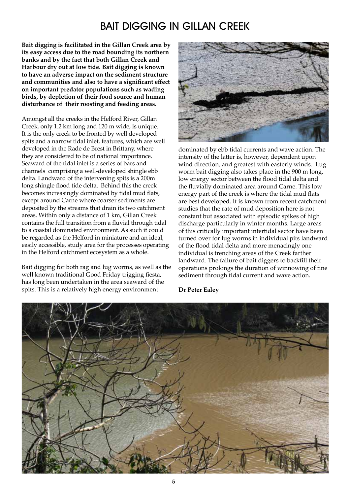# BAIT DIGGING IN GILLAN CREEK

**Bait digging is facilitated in the Gillan Creek area by its easy access due to the road bounding its northern banks and by the fact that both Gillan Creek and Harbour dry out at low tide. Bait digging is known to have an adverse impact on the sediment structure and communities and also to have a significant effect on important predator populations such as wading birds, by depletion of their food source and human disturbance of their roosting and feeding areas.**

Amongst all the creeks in the Helford River, Gillan Creek, only 1.2 km long and 120 m wide, is unique. It is the only creek to be fronted by well developed spits and a narrow tidal inlet, features, which are well developed in the Rade de Brest in Brittany, where they are considered to be of national importance. Seaward of the tidal inlet is a series of bars and channels comprising a well-developed shingle ebb delta. Landward of the intervening spits is a 200m long shingle flood tide delta. Behind this the creek becomes increasingly dominated by tidal mud flats, except around Carne where coarser sediments are deposited by the streams that drain its two catchment areas. Within only a distance of 1 km, Gillan Creek contains the full transition from a fluvial through tidal to a coastal dominated environment. As such it could be regarded as the Helford in miniature and an ideal, easily accessible, study area for the processes operating in the Helford catchment ecosystem as a whole.

Bait digging for both rag and lug worms, as well as the well known traditional Good Friday trigging fiesta, has long been undertaken in the area seaward of the spits. This is a relatively high energy environment



dominated by ebb tidal currents and wave action. The intensity of the latter is, however, dependent upon wind direction, and greatest with easterly winds. Lug worm bait digging also takes place in the 900 m long, low energy sector between the flood tidal delta and the fluvially dominated area around Carne. This low energy part of the creek is where the tidal mud flats are best developed. It is known from recent catchment studies that the rate of mud deposition here is not constant but associated with episodic spikes of high discharge particularly in winter months. Large areas of this critically important intertidal sector have been turned over for lug worms in individual pits landward of the flood tidal delta and more menacingly one individual is trenching areas of the Creek farther landward. The failure of bait diggers to backfill their operations prolongs the duration of winnowing of fine sediment through tidal current and wave action.

**Dr Peter Ealey**

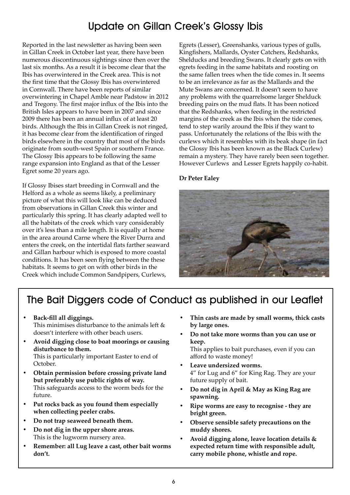# Update on Gillan Creek's Glossy Ibis

Reported in the last newsletter as having been seen in Gillan Creek in October last year, there have been numerous discontinuous sightings since then over the last six months. As a result it is become clear that the Ibis has overwintered in the Creek area. This is not the first time that the Glossy Ibis has overwintered in Cornwall. There have been reports of similar overwintering in Chapel Amble near Padstow in 2012 and Tregony. The first major influx of the Ibis into the British Isles appears to have been in 2007 and since 2009 there has been an annual influx of at least 20 birds. Although the Ibis in Gillan Creek is not ringed, it has become clear from the identification of ringed birds elsewhere in the country that most of the birds originate from south-west Spain or southern France. The Glossy Ibis appears to be following the same range expansion into England as that of the Lesser Egret some 20 years ago.

If Glossy Ibises start breeding in Cornwall and the Helford as a whole as seems likely, a preliminary picture of what this will look like can be deduced from observations in Gillan Creek this winter and particularly this spring. It has clearly adapted well to all the habitats of the creek which vary considerably over it's less than a mile length. It is equally at home in the area around Carne where the River Durra and enters the creek, on the intertidal flats farther seaward and Gillan harbour which is exposed to more coastal conditions. It has been seen flying between the these habitats. It seems to get on with other birds in the Creek which include Common Sandpipers, Curlews,

Egrets (Lesser), Greenshanks, various types of gulls, Kingfishers, Mallards, Oyster Catchers, Redshanks, Shelducks and breeding Swans. It clearly gets on with egrets feeding in the same habitats and roosting on the same fallen trees when the tide comes in. It seems to be an irrelevance as far as the Mallards and the Mute Swans are concerned. It doesn't seem to have any problems with the quarrelsome larger Shelduck breeding pairs on the mud flats. It has been noticed that the Redshanks, when feeding in the restricted margins of the creek as the Ibis when the tide comes, tend to step warily around the Ibis if they want to pass. Unfortunately the relations of the Ibis with the curlews which it resembles with its beak shape (in fact the Glossy Ibis has been known as the Black Curlew) remain a mystery. They have rarely been seen together. However Curlews and Lesser Egrets happily co-habit.

### **Dr Peter Ealey**



# The Bait Diggers code of Conduct as published in our Leaflet

- **• Back-fill all diggings.** This minimises disturbance to the animals left & doesn't interfere with other beach users.
- **• Avoid digging close to boat moorings or causing disturbance to them.** This is particularly important Easter to end of October.
- **• Obtain permission before crossing private land but preferably use public rights of way.** This safeguards access to the worm beds for the future.
- **• Put rocks back as you found them especially when collecting peeler crabs.**
- **• Do not trap seaweed beneath them.**
- **• Do not dig in the upper shore areas.** This is the lugworm nursery area.
- **• Remember: all Lug leave a cast, other bait worms don't.**
- **• Thin casts are made by small worms, thick casts by large ones.**
- **• Do not take more worms than you can use or keep.**

This applies to bait purchases, even if you can afford to waste money!

- **• Leave undersized worms.** 4" for Lug and 6" for King Rag. They are your future supply of bait.
- **• Do not dig in April & May as King Rag are spawning.**
- **• Ripe worms are easy to recognise they are bright green.**
- **• Observe sensible safety precautions on the muddy shores.**
- **• Avoid digging alone, leave location details & expected return time with responsible adult, carry mobile phone, whistle and rope.**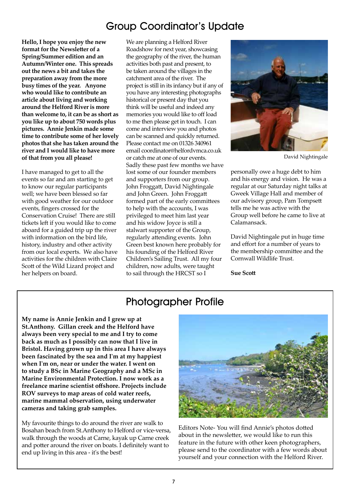## Group Coordinator's Update

**Hello, I hope you enjoy the new format for the Newsletter of a Spring/Summer edition and an Autumn/Winter one. This spreads out the news a bit and takes the preparation away from the more busy times of the year. Anyone who would like to contribute an article about living and working around the Helford River is more than welcome to, it can be as short as you like up to about 750 words plus pictures. Annie Jenkin made some time to contribute some of her lovely photos that she has taken around the river and I would like to have more of that from you all please!**

I have managed to get to all the events so far and am starting to get to know our regular participants well; we have been blessed so far with good weather for our outdoor events, fingers crossed for the Conservation Cruise! There are still tickets left if you would like to come aboard for a guided trip up the river with information on the bird life, history, industry and other activity from our local experts. We also have activities for the children with Claire Scott of the Wild Lizard project and her helpers on board.

We are planning a Helford River Roadshow for next year, showcasing the geography of the river, the human activities both past and present, to be taken around the villages in the catchment area of the river. The project is still in its infancy but if any of you have any interesting photographs historical or present day that you think will be useful and indeed any memories you would like to off load to me then please get in touch. I can come and interview you and photos can be scanned and quickly returned. Please contact me on 01326 340961 email coordinator@helfordvmca.co.uk or catch me at one of our events. Sadly these past few months we have lost some of our founder members and supporters from our group. John Froggatt, David Nightingale and John Green. John Froggatt formed part of the early committees to help with the accounts, I was privileged to meet him last year and his widow Joyce is still a stalwart supporter of the Group, regularly attending events. John Green best known here probably for his founding of the Helford River Children's Sailing Trust. All my four children, now adults, were taught to sail through the HRCST so I



David Nightingale

personally owe a huge debt to him and his energy and vision. He was a regular at our Saturday night talks at Gweek Village Hall and member of our advisory group, Pam Tompsett tells me he was active with the Group well before he came to live at Calamansack.

David Nightingale put in huge time and effort for a number of years to the membership committee and the Cornwall Wildlife Trust.

**Sue Scott**

## Photographer Profile

**My name is Annie Jenkin and I grew up at St.Anthony. Gillan creek and the Helford have always been very special to me and I try to come back as much as I possibly can now that I live in Bristol. Having grown up in this area I have always been fascinated by the sea and I'm at my happiest when I'm on, near or under the water. I went on to study a BSc in Marine Geography and a MSc in Marine Environmental Protection. I now work as a freelance marine scientist offshore. Projects include ROV surveys to map areas of cold water reefs, marine mammal observation, using underwater cameras and taking grab samples.** 

My favourite things to do around the river are walk to Bosahan beach from St.Anthony to Helford or vice-versa, walk through the woods at Carne, kayak up Carne creek and potter around the river on boats. I definitely want to end up living in this area - it's the best!



Editors Note- You will find Annie's photos dotted about in the newsletter, we would like to run this feature in the future with other keen photographers, please send to the coordinator with a few words about yourself and your connection with the Helford River.